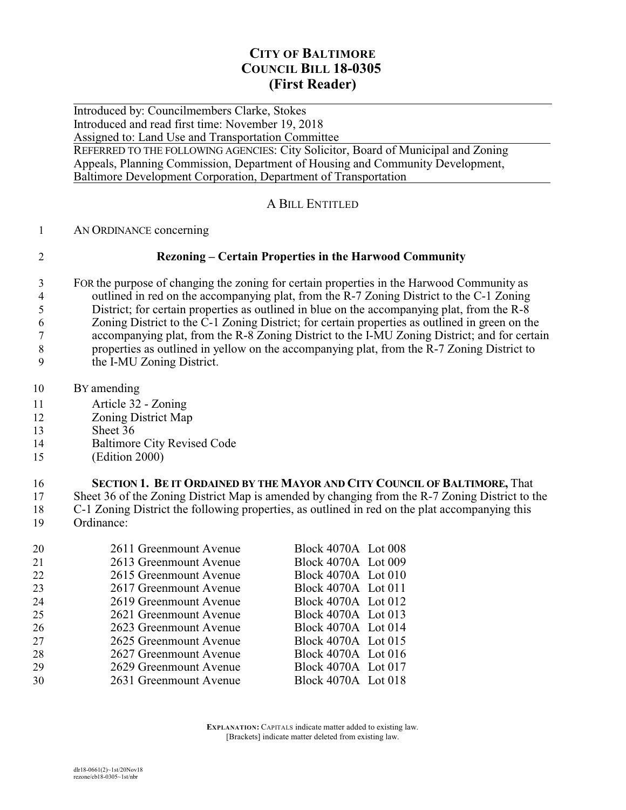# **CITY OF BALTIMORE COUNCIL BILL 18-0305 (First Reader)**

 $\overline{a}$ Introduced by: Councilmembers Clarke, Stokes Introduced and read first time: November 19, 2018 Assigned to: Land Use and Transportation Committee

REFERRED TO THE FOLLOWING AGENCIES: City Solicitor, Board of Municipal and Zoning Appeals, Planning Commission, Department of Housing and Community Development, Baltimore Development Corporation, Department of Transportation

### A BILL ENTITLED

- AN ORDINANCE concerning
- 

## **Rezoning – Certain Properties in the Harwood Community**

- FOR the purpose of changing the zoning for certain properties in the Harwood Community as 4 outlined in red on the accompanying plat, from the R-7 Zoning District to the C-1 Zoning<br>5 District: for certain properties as outlined in blue on the accompanying plat, from the R-8 District; for certain properties as outlined in blue on the accompanying plat, from the R-8 Zoning District to the C-1 Zoning District; for certain properties as outlined in green on the accompanying plat, from the R-8 Zoning District to the I-MU Zoning District; and for certain properties as outlined in yellow on the accompanying plat, from the R-7 Zoning District to the I-MU Zoning District.
- BY amending
- Article 32 Zoning
- Zoning District Map
- Sheet 36
- Baltimore City Revised Code
- (Edition 2000)

# **SECTION 1. BE IT ORDAINED BY THE MAYOR AND CITY COUNCIL OF BALTIMORE, That** Sheet 36 of the Zoning District Map is amended by changing from the R-7 Zoning District to t

 Sheet 36 of the Zoning District Map is amended by changing from the R-7 Zoning District to the C-1 Zoning District the following properties, as outlined in red on the plat accompanying this Ordinance:

| 20 | 2611 Greenmount Avenue | Block 4070A Lot 008 |  |
|----|------------------------|---------------------|--|
| 21 | 2613 Greenmount Avenue | Block 4070A Lot 009 |  |
| 22 | 2615 Greenmount Avenue | Block 4070A Lot 010 |  |
| 23 | 2617 Greenmount Avenue | Block 4070A Lot 011 |  |
| 24 | 2619 Greenmount Avenue | Block 4070A Lot 012 |  |
| 25 | 2621 Greenmount Avenue | Block 4070A Lot 013 |  |
| 26 | 2623 Greenmount Avenue | Block 4070A Lot 014 |  |
| 27 | 2625 Greenmount Avenue | Block 4070A Lot 015 |  |
| 28 | 2627 Greenmount Avenue | Block 4070A Lot 016 |  |
| 29 | 2629 Greenmount Avenue | Block 4070A Lot 017 |  |
| 30 | 2631 Greenmount Avenue | Block 4070A Lot 018 |  |
|    |                        |                     |  |

**EXPLANATION:** CAPITALS indicate matter added to existing law. [Brackets] indicate matter deleted from existing law.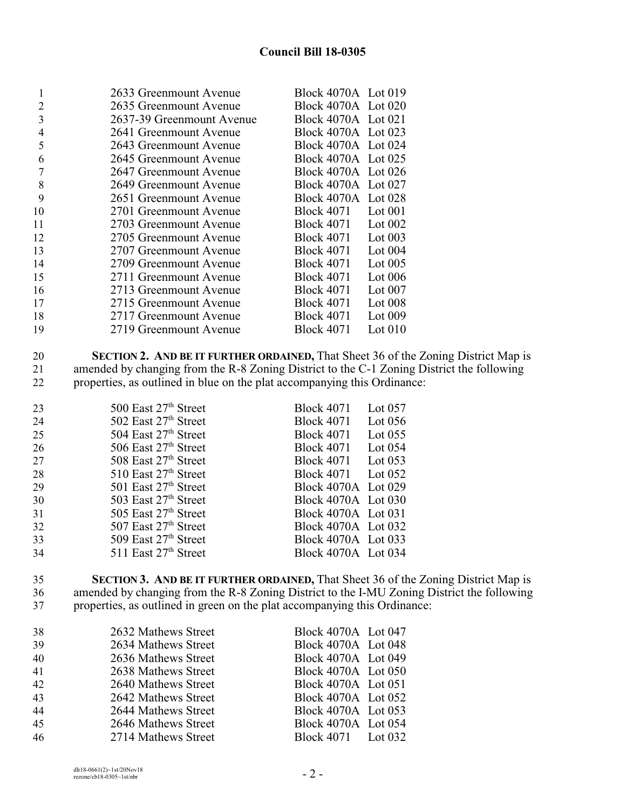## **Council Bill 18-0305**

| 1  | 2633 Greenmount Avenue    | Block 4070A Lot 019 |           |
|----|---------------------------|---------------------|-----------|
| 2  | 2635 Greenmount Avenue    | Block 4070A Lot 020 |           |
| 3  | 2637-39 Greenmount Avenue | Block 4070A Lot 021 |           |
| 4  | 2641 Greenmount Avenue    | Block 4070A Lot 023 |           |
| 5  | 2643 Greenmount Avenue    | Block 4070A Lot 024 |           |
| 6  | 2645 Greenmount Avenue    | Block 4070A Lot 025 |           |
|    | 2647 Greenmount Avenue    | Block 4070A Lot 026 |           |
| 8  | 2649 Greenmount Avenue    | Block 4070A Lot 027 |           |
| 9  | 2651 Greenmount Avenue    | Block 4070A Lot 028 |           |
| 10 | 2701 Greenmount Avenue    | Block 4071          | Lot $001$ |
| 11 | 2703 Greenmount Avenue    | Block 4071          | Lot $002$ |
| 12 | 2705 Greenmount Avenue    | <b>Block 4071</b>   | Lot $003$ |
| 13 | 2707 Greenmount Avenue    | <b>Block 4071</b>   | Lot $004$ |
| 14 | 2709 Greenmount Avenue    | <b>Block 4071</b>   | Lot $005$ |
| 15 | 2711 Greenmount Avenue    | <b>Block 4071</b>   | Lot $006$ |
| 16 | 2713 Greenmount Avenue    | <b>Block 4071</b>   | Lot $007$ |
| 17 | 2715 Greenmount Avenue    | <b>Block 4071</b>   | Lot $008$ |
| 18 | 2717 Greenmount Avenue    | <b>Block 4071</b>   | Lot $009$ |
| 19 | 2719 Greenmount Avenue    | <b>Block 4071</b>   | Lot $010$ |
|    |                           |                     |           |

 **SECTION 2. AND BE IT FURTHER ORDAINED,** That Sheet 36 of the Zoning District Map is 21 amended by changing from the R-8 Zoning District to the C-1 Zoning District the following<br>22 properties, as outlined in blue on the plat accompanying this Ordinance: properties, as outlined in blue on the plat accompanying this Ordinance:

| 23 | 500 East 27 <sup>th</sup> Street | <b>Block 4071</b><br>Lot $057$ |
|----|----------------------------------|--------------------------------|
| 24 | 502 East $27th$ Street           | <b>Block 4071</b><br>Lot $056$ |
| 25 | 504 East 27th Street             | Lot $055$<br><b>Block 4071</b> |
| 26 | 506 East $27th$ Street           | <b>Block 4071</b><br>Lot $054$ |
| 27 | 508 East $27th$ Street           | Block 4071 Lot 053             |
| 28 | $510$ East $27th$ Street         | Block 4071 Lot 052             |
| 29 | 501 East $27th$ Street           | Block 4070A Lot 029            |
| 30 | 503 East 27th Street             | Block 4070A Lot 030            |
| 31 | 505 East $27th$ Street           | Block 4070A Lot 031            |
| 32 | 507 East $27th$ Street           | Block 4070A Lot 032            |
| 33 | 509 East $27th$ Street           | Block 4070A Lot 033            |
| 34 | 511 East $27th$ Street           | Block 4070A Lot 034            |

 **SECTION 3. AND BE IT FURTHER ORDAINED,** That Sheet 36 of the Zoning District Map is amended by changing from the R-8 Zoning District to the I-MU Zoning District the following properties, as outlined in green on the plat accompanying this Ordinance:

| 38 | 2632 Mathews Street | Block 4070A Lot 047 |  |
|----|---------------------|---------------------|--|
| 39 | 2634 Mathews Street | Block 4070A Lot 048 |  |
| 40 | 2636 Mathews Street | Block 4070A Lot 049 |  |
| 41 | 2638 Mathews Street | Block 4070A Lot 050 |  |
| 42 | 2640 Mathews Street | Block 4070A Lot 051 |  |
| 43 | 2642 Mathews Street | Block 4070A Lot 052 |  |
| 44 | 2644 Mathews Street | Block 4070A Lot 053 |  |
| 45 | 2646 Mathews Street | Block 4070A Lot 054 |  |
| 46 | 2714 Mathews Street | Block 4071 Lot 032  |  |
|    |                     |                     |  |